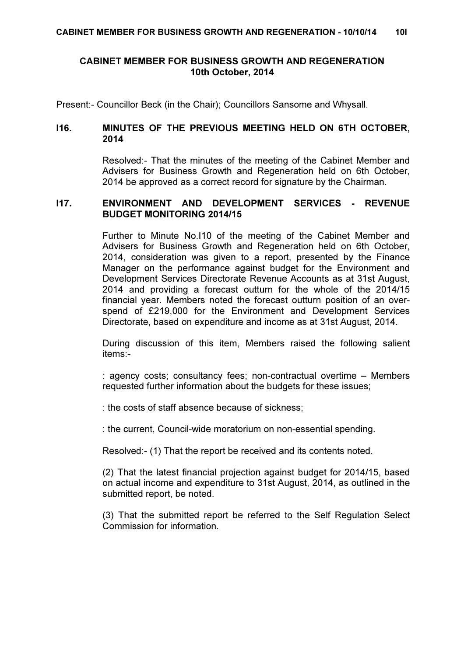# CABINET MEMBER FOR BUSINESS GROWTH AND REGENERATION 10th October, 2014

Present:- Councillor Beck (in the Chair); Councillors Sansome and Whysall.

# I16. MINUTES OF THE PREVIOUS MEETING HELD ON 6TH OCTOBER, 2014

 Resolved:- That the minutes of the meeting of the Cabinet Member and Advisers for Business Growth and Regeneration held on 6th October, 2014 be approved as a correct record for signature by the Chairman.

## I17. ENVIRONMENT AND DEVELOPMENT SERVICES - REVENUE BUDGET MONITORING 2014/15

 Further to Minute No.I10 of the meeting of the Cabinet Member and Advisers for Business Growth and Regeneration held on 6th October, 2014, consideration was given to a report, presented by the Finance Manager on the performance against budget for the Environment and Development Services Directorate Revenue Accounts as at 31st August, 2014 and providing a forecast outturn for the whole of the 2014/15 financial year. Members noted the forecast outturn position of an overspend of £219,000 for the Environment and Development Services Directorate, based on expenditure and income as at 31st August, 2014.

During discussion of this item, Members raised the following salient items:-

: agency costs; consultancy fees; non-contractual overtime – Members requested further information about the budgets for these issues;

: the costs of staff absence because of sickness;

: the current, Council-wide moratorium on non-essential spending.

Resolved:- (1) That the report be received and its contents noted.

(2) That the latest financial projection against budget for 2014/15, based on actual income and expenditure to 31st August, 2014, as outlined in the submitted report, be noted.

(3) That the submitted report be referred to the Self Regulation Select Commission for information.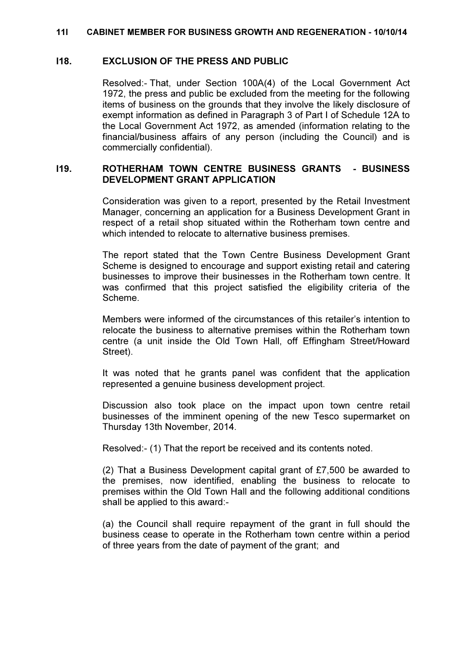#### 11I CABINET MEMBER FOR BUSINESS GROWTH AND REGENERATION - 10/10/14

### I18. EXCLUSION OF THE PRESS AND PUBLIC

 Resolved:- That, under Section 100A(4) of the Local Government Act 1972, the press and public be excluded from the meeting for the following items of business on the grounds that they involve the likely disclosure of exempt information as defined in Paragraph 3 of Part I of Schedule 12A to the Local Government Act 1972, as amended (information relating to the financial/business affairs of any person (including the Council) and is commercially confidential).

# I19. ROTHERHAM TOWN CENTRE BUSINESS GRANTS - BUSINESS DEVELOPMENT GRANT APPLICATION

 Consideration was given to a report, presented by the Retail Investment Manager, concerning an application for a Business Development Grant in respect of a retail shop situated within the Rotherham town centre and which intended to relocate to alternative business premises.

The report stated that the Town Centre Business Development Grant Scheme is designed to encourage and support existing retail and catering businesses to improve their businesses in the Rotherham town centre. It was confirmed that this project satisfied the eligibility criteria of the Scheme.

Members were informed of the circumstances of this retailer's intention to relocate the business to alternative premises within the Rotherham town centre (a unit inside the Old Town Hall, off Effingham Street/Howard Street).

It was noted that he grants panel was confident that the application represented a genuine business development project.

Discussion also took place on the impact upon town centre retail businesses of the imminent opening of the new Tesco supermarket on Thursday 13th November, 2014.

Resolved:- (1) That the report be received and its contents noted.

(2) That a Business Development capital grant of £7,500 be awarded to the premises, now identified, enabling the business to relocate to premises within the Old Town Hall and the following additional conditions shall be applied to this award:-

(a) the Council shall require repayment of the grant in full should the business cease to operate in the Rotherham town centre within a period of three years from the date of payment of the grant; and